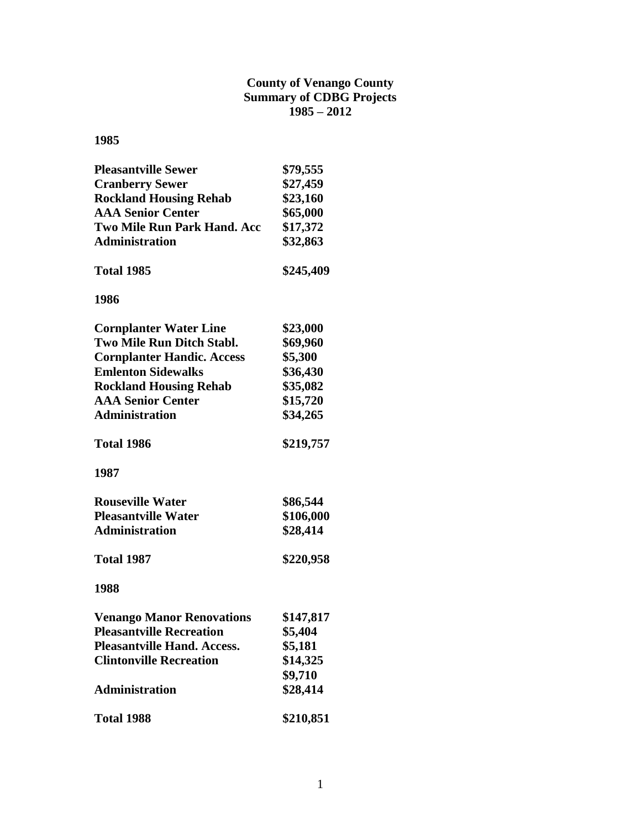#### **County of Venango County Summary of CDBG Projects 1985 – 2012**

| <b>Pleasantville Sewer</b>         | \$79,555  |
|------------------------------------|-----------|
| <b>Cranberry Sewer</b>             | \$27,459  |
| <b>Rockland Housing Rehab</b>      | \$23,160  |
| <b>AAA Senior Center</b>           | \$65,000  |
| <b>Two Mile Run Park Hand. Acc</b> | \$17,372  |
| <b>Administration</b>              | \$32,863  |
| <b>Total 1985</b>                  | \$245,409 |
| 1986                               |           |
| <b>Cornplanter Water Line</b>      | \$23,000  |
| Two Mile Run Ditch Stabl.          | \$69,960  |
| <b>Cornplanter Handic. Access</b>  | \$5,300   |
| <b>Emlenton Sidewalks</b>          | \$36,430  |
| <b>Rockland Housing Rehab</b>      | \$35,082  |
| <b>AAA Senior Center</b>           | \$15,720  |
| <b>Administration</b>              | \$34,265  |
| <b>Total 1986</b>                  | \$219,757 |
| 1987                               |           |
| <b>Rouseville Water</b>            | \$86,544  |
| <b>Pleasantville Water</b>         | \$106,000 |
| <b>Administration</b>              | \$28,414  |
| <b>Total 1987</b>                  | \$220,958 |
| 1988                               |           |
| <b>Venango Manor Renovations</b>   | \$147,817 |
| <b>Pleasantville Recreation</b>    | \$5,404   |
| <b>Pleasantville Hand. Access.</b> | \$5,181   |
| <b>Clintonville Recreation</b>     | \$14,325  |
|                                    | \$9,710   |
| <b>Administration</b>              | \$28,414  |
| <b>Total 1988</b>                  | \$210,851 |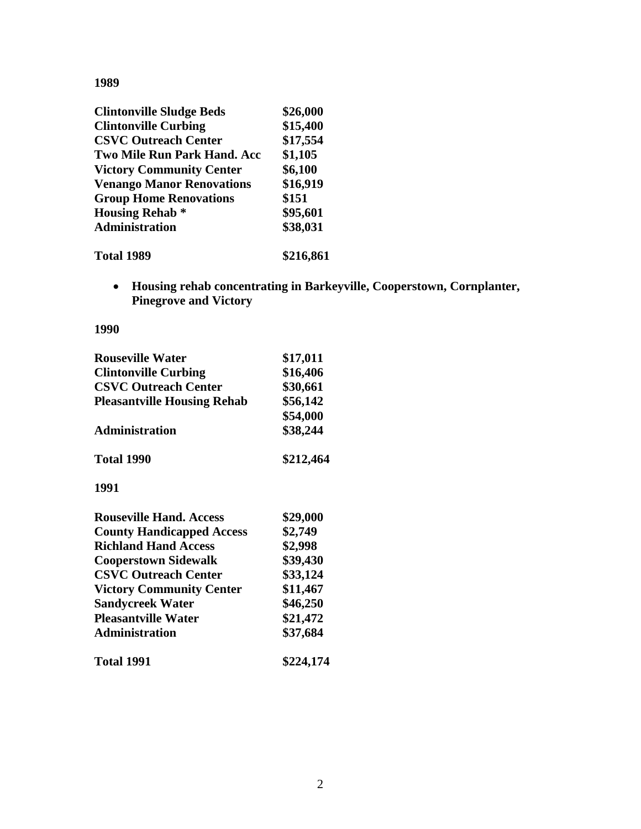| <b>Clintonville Sludge Beds</b>    | \$26,000  |
|------------------------------------|-----------|
| <b>Clintonville Curbing</b>        | \$15,400  |
| <b>CSVC Outreach Center</b>        | \$17,554  |
| <b>Two Mile Run Park Hand. Acc</b> | \$1,105   |
| <b>Victory Community Center</b>    | \$6,100   |
| <b>Venango Manor Renovations</b>   | \$16,919  |
| <b>Group Home Renovations</b>      | \$151     |
| <b>Housing Rehab</b> *             | \$95,601  |
| <b>Administration</b>              | \$38,031  |
| <b>Total 1989</b>                  | \$216,861 |

 **Housing rehab concentrating in Barkeyville, Cooperstown, Cornplanter, Pinegrove and Victory**

| <b>Rouseville Water</b>            | \$17,011  |
|------------------------------------|-----------|
| <b>Clintonville Curbing</b>        | \$16,406  |
| <b>CSVC Outreach Center</b>        | \$30,661  |
| <b>Pleasantville Housing Rehab</b> | \$56,142  |
|                                    | \$54,000  |
| <b>Administration</b>              | \$38,244  |
| <b>Total 1990</b>                  | \$212,464 |
| 1991                               |           |
| <b>Rouseville Hand. Access</b>     | \$29,000  |
| <b>County Handicapped Access</b>   | \$2,749   |
| <b>Richland Hand Access</b>        | \$2,998   |
| <b>Cooperstown Sidewalk</b>        | \$39,430  |
| <b>CSVC Outreach Center</b>        | \$33,124  |
| <b>Victory Community Center</b>    | \$11,467  |
| <b>Sandycreek Water</b>            | \$46,250  |
| <b>Pleasantville Water</b>         | \$21,472  |
| <b>Administration</b>              | \$37,684  |
| <b>Total 1991</b>                  | \$224,174 |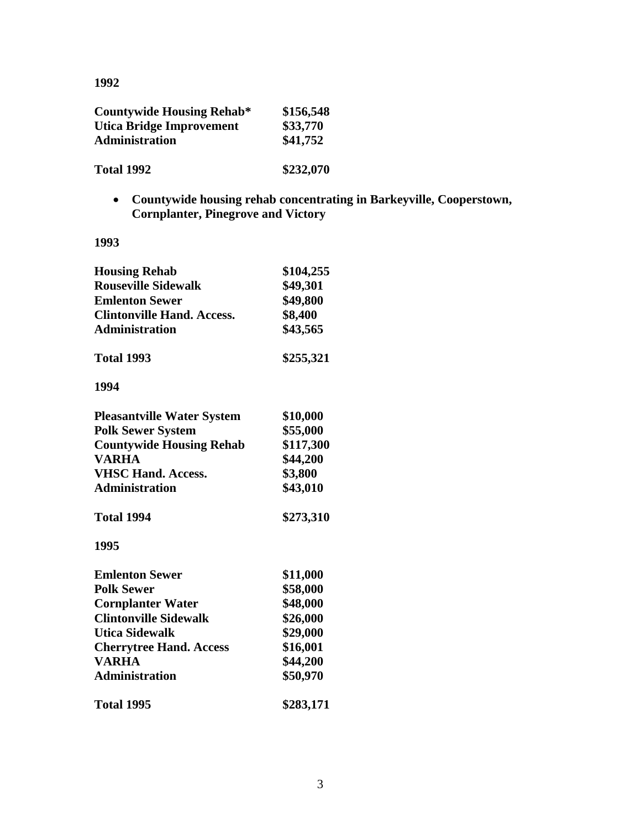| <b>Countywide Housing Rehab*</b> | \$156,548 |
|----------------------------------|-----------|
| Utica Bridge Improvement         | \$33,770  |
| Administration                   | \$41,752  |
| <b>Total 1992</b>                | \$232,070 |

 **Countywide housing rehab concentrating in Barkeyville, Cooperstown, Cornplanter, Pinegrove and Victory**

| <b>Housing Rehab</b><br><b>Rouseville Sidewalk</b><br><b>Emlenton Sewer</b><br><b>Clintonville Hand. Access.</b><br><b>Administration</b> | \$104,255<br>\$49,301<br>\$49,800<br>\$8,400<br>\$43,565 |
|-------------------------------------------------------------------------------------------------------------------------------------------|----------------------------------------------------------|
| <b>Total 1993</b>                                                                                                                         | \$255,321                                                |
| 1994                                                                                                                                      |                                                          |
| <b>Pleasantville Water System</b>                                                                                                         | \$10,000                                                 |
| <b>Polk Sewer System</b>                                                                                                                  | \$55,000                                                 |
| <b>Countywide Housing Rehab</b>                                                                                                           | \$117,300                                                |
| <b>VARHA</b>                                                                                                                              | \$44,200                                                 |
| <b>VHSC Hand. Access.</b>                                                                                                                 | \$3,800                                                  |
| <b>Administration</b>                                                                                                                     | \$43,010                                                 |
| Total 1994                                                                                                                                | \$273,310                                                |
| 1995                                                                                                                                      |                                                          |
| <b>Emlenton Sewer</b>                                                                                                                     | \$11,000                                                 |
| <b>Polk Sewer</b>                                                                                                                         | \$58,000                                                 |
| <b>Cornplanter Water</b>                                                                                                                  | \$48,000                                                 |
| <b>Clintonville Sidewalk</b>                                                                                                              | \$26,000                                                 |
| <b>Utica Sidewalk</b>                                                                                                                     | \$29,000                                                 |
| <b>Cherrytree Hand. Access</b>                                                                                                            | \$16,001                                                 |
| <b>VARHA</b>                                                                                                                              | \$44,200                                                 |
| <b>Administration</b>                                                                                                                     | \$50,970                                                 |
| <b>Total 1995</b>                                                                                                                         | \$283,171                                                |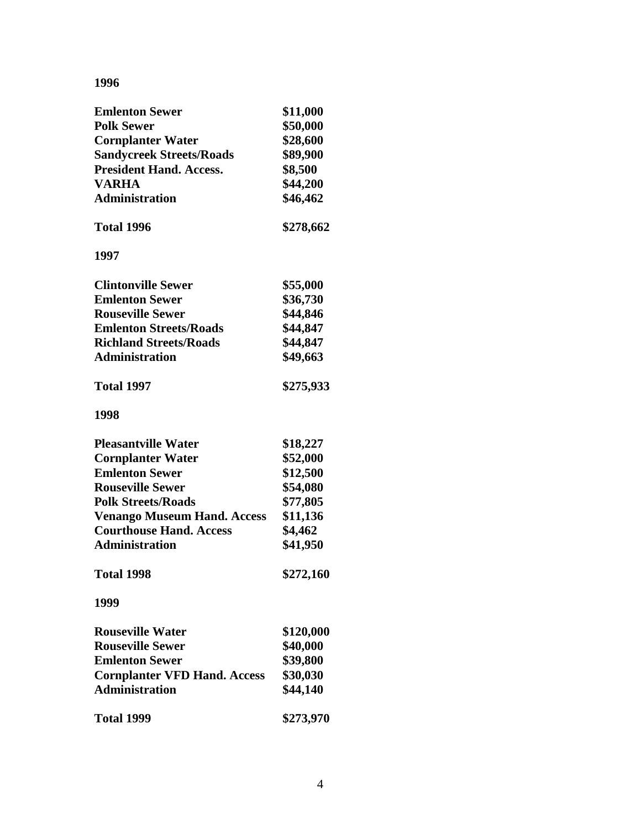| <b>Emlenton Sewer</b>               | \$11,000  |
|-------------------------------------|-----------|
| <b>Polk Sewer</b>                   | \$50,000  |
| <b>Cornplanter Water</b>            | \$28,600  |
| <b>Sandycreek Streets/Roads</b>     | \$89,900  |
| <b>President Hand. Access.</b>      | \$8,500   |
| <b>VARHA</b>                        | \$44,200  |
| <b>Administration</b>               | \$46,462  |
| <b>Total 1996</b>                   | \$278,662 |
| 1997                                |           |
| <b>Clintonville Sewer</b>           | \$55,000  |
| <b>Emlenton Sewer</b>               | \$36,730  |
| <b>Rouseville Sewer</b>             | \$44,846  |
| <b>Emlenton Streets/Roads</b>       | \$44,847  |
| <b>Richland Streets/Roads</b>       | \$44,847  |
| <b>Administration</b>               | \$49,663  |
| <b>Total 1997</b>                   | \$275,933 |
| 1998                                |           |
| <b>Pleasantville Water</b>          | \$18,227  |
| <b>Cornplanter Water</b>            | \$52,000  |
| <b>Emlenton Sewer</b>               | \$12,500  |
| <b>Rouseville Sewer</b>             | \$54,080  |
| <b>Polk Streets/Roads</b>           | \$77,805  |
| <b>Venango Museum Hand. Access</b>  | \$11,136  |
| <b>Courthouse Hand. Access</b>      | \$4,462   |
| <b>Administration</b>               | \$41,950  |
| <b>Total 1998</b>                   | \$272,160 |
| 1999                                |           |
| <b>Rouseville Water</b>             | \$120,000 |
| <b>Rouseville Sewer</b>             | \$40,000  |
| <b>Emlenton Sewer</b>               | \$39,800  |
| <b>Cornplanter VFD Hand. Access</b> | \$30,030  |
| <b>Administration</b>               | \$44,140  |
| <b>Total 1999</b>                   | \$273,970 |
|                                     |           |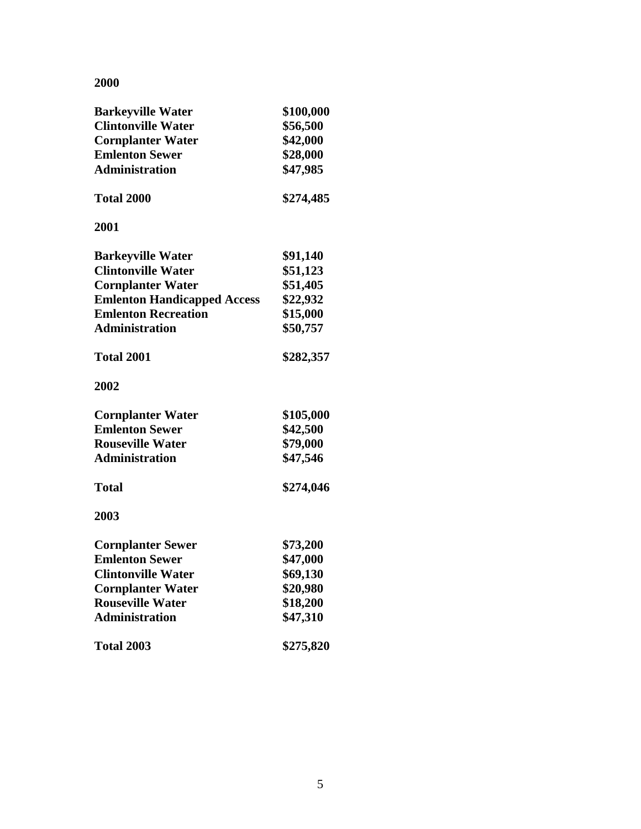| <b>Barkeyville Water</b>           | \$100,000 |
|------------------------------------|-----------|
| <b>Clintonville Water</b>          | \$56,500  |
| <b>Cornplanter Water</b>           | \$42,000  |
| <b>Emlenton Sewer</b>              | \$28,000  |
| <b>Administration</b>              | \$47,985  |
| <b>Total 2000</b>                  | \$274,485 |
| 2001                               |           |
| <b>Barkeyville Water</b>           | \$91,140  |
| <b>Clintonville Water</b>          | \$51,123  |
| <b>Cornplanter Water</b>           | \$51,405  |
| <b>Emlenton Handicapped Access</b> | \$22,932  |
| <b>Emlenton Recreation</b>         | \$15,000  |
| <b>Administration</b>              | \$50,757  |
| <b>Total 2001</b>                  | \$282,357 |
| 2002                               |           |
| <b>Cornplanter Water</b>           | \$105,000 |
| <b>Emlenton Sewer</b>              | \$42,500  |
| <b>Rouseville Water</b>            | \$79,000  |
| <b>Administration</b>              | \$47,546  |
| <b>Total</b>                       | \$274,046 |
| 2003                               |           |
| <b>Cornplanter Sewer</b>           | \$73,200  |
| <b>Emlenton Sewer</b>              | \$47,000  |
| <b>Clintonville Water</b>          | \$69,130  |
| <b>Cornplanter Water</b>           | \$20,980  |
| <b>Rouseville Water</b>            | \$18,200  |
| <b>Administration</b>              | \$47,310  |
| <b>Total 2003</b>                  | \$275,820 |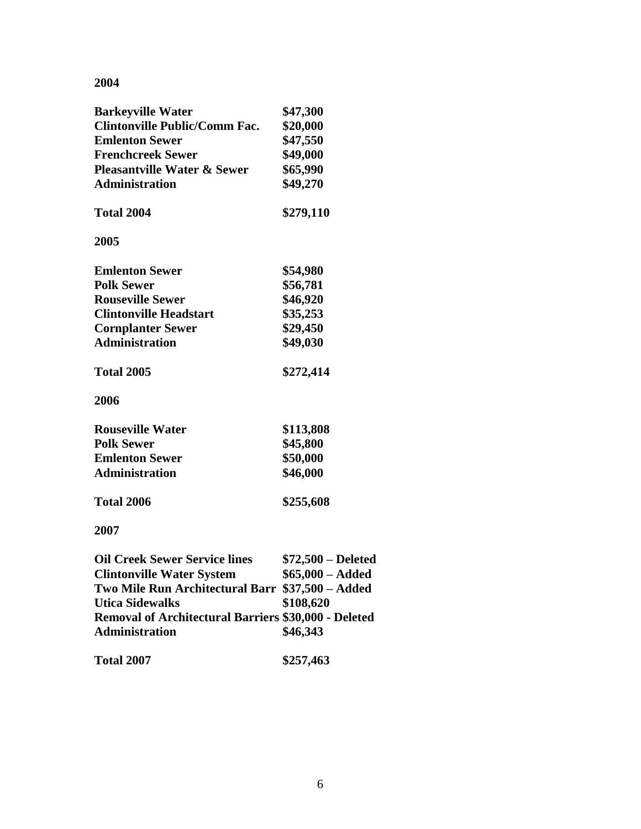| <b>Barkeyville Water</b>                                    | \$47,300           |
|-------------------------------------------------------------|--------------------|
| <b>Clintonville Public/Comm Fac.</b>                        | \$20,000           |
| <b>Emlenton Sewer</b>                                       | \$47,550           |
| <b>Frenchcreek Sewer</b>                                    | \$49,000           |
| <b>Pleasantville Water &amp; Sewer</b>                      | \$65,990           |
| <b>Administration</b>                                       | \$49,270           |
| Total 2004                                                  | \$279,110          |
| 2005                                                        |                    |
| <b>Emlenton Sewer</b>                                       | \$54,980           |
| <b>Polk Sewer</b>                                           | \$56,781           |
| <b>Rouseville Sewer</b>                                     | \$46,920           |
| <b>Clintonville Headstart</b>                               | \$35,253           |
| <b>Cornplanter Sewer</b>                                    | \$29,450           |
| <b>Administration</b>                                       | \$49,030           |
| <b>Total 2005</b>                                           | \$272,414          |
| 2006                                                        |                    |
| <b>Rouseville Water</b>                                     | \$113,808          |
| <b>Polk Sewer</b>                                           | \$45,800           |
| <b>Emlenton Sewer</b>                                       | \$50,000           |
| <b>Administration</b>                                       | \$46,000           |
| <b>Total 2006</b>                                           | \$255,608          |
| 2007                                                        |                    |
| <b>Oil Creek Sewer Service lines</b>                        | \$72,500 – Deleted |
| <b>Clintonville Water System</b>                            | $$65,000 - Added$  |
| Two Mile Run Architectural Barr \$37,500 - Added            |                    |
| <b>Utica Sidewalks</b>                                      | \$108,620          |
| <b>Removal of Architectural Barriers \$30,000 - Deleted</b> |                    |
| Administration                                              | \$46,343           |
| <b>Total 2007</b>                                           | \$257,463          |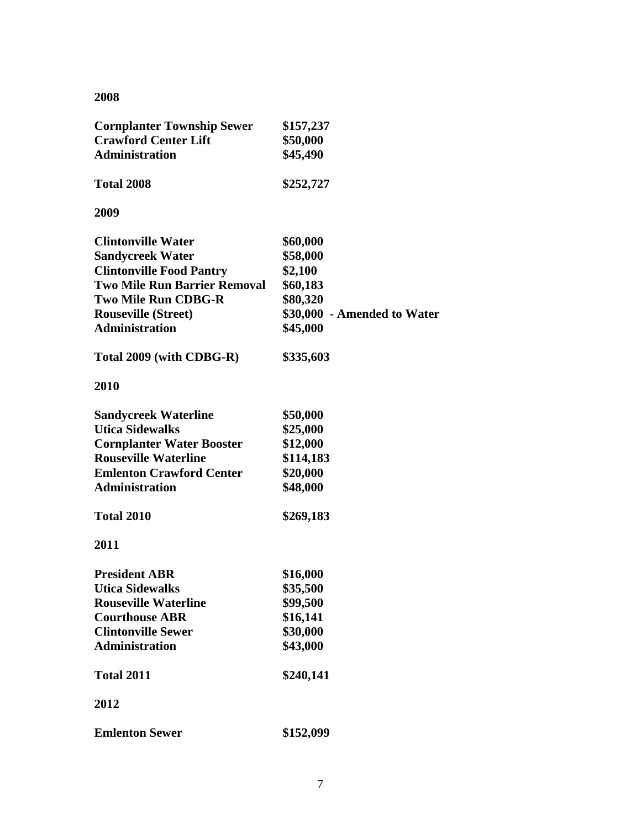| <b>Cornplanter Township Sewer</b><br><b>Crawford Center Lift</b><br><b>Administration</b> | \$157,237<br>\$50,000<br>\$45,490 |
|-------------------------------------------------------------------------------------------|-----------------------------------|
| <b>Total 2008</b>                                                                         | \$252,727                         |
| 2009                                                                                      |                                   |
| <b>Clintonville Water</b>                                                                 | \$60,000                          |
| <b>Sandycreek Water</b>                                                                   | \$58,000                          |
| <b>Clintonville Food Pantry</b>                                                           | \$2,100                           |
| <b>Two Mile Run Barrier Removal</b>                                                       | \$60,183                          |
| <b>Two Mile Run CDBG-R</b>                                                                | \$80,320                          |
| <b>Rouseville (Street)</b>                                                                | \$30,000 - Amended to Water       |
| <b>Administration</b>                                                                     | \$45,000                          |
| Total 2009 (with CDBG-R)                                                                  | \$335,603                         |
| 2010                                                                                      |                                   |
| <b>Sandycreek Waterline</b>                                                               | \$50,000                          |
| <b>Utica Sidewalks</b>                                                                    | \$25,000                          |
| <b>Cornplanter Water Booster</b>                                                          | \$12,000                          |
| <b>Rouseville Waterline</b>                                                               | \$114,183                         |
| <b>Emlenton Crawford Center</b>                                                           | \$20,000                          |
| <b>Administration</b>                                                                     | \$48,000                          |
| <b>Total 2010</b>                                                                         | \$269,183                         |
| 2011                                                                                      |                                   |
| <b>President ABR</b>                                                                      | \$16,000                          |
| Utica Sidewalks                                                                           | \$35,500                          |
| <b>Rouseville Waterline</b>                                                               | \$99,500                          |
| <b>Courthouse ABR</b>                                                                     | \$16,141                          |
| <b>Clintonville Sewer</b>                                                                 | \$30,000                          |
| <b>Administration</b>                                                                     | \$43,000                          |
| <b>Total 2011</b>                                                                         | \$240,141                         |
| 2012                                                                                      |                                   |
| <b>Emlenton Sewer</b>                                                                     | \$152,099                         |